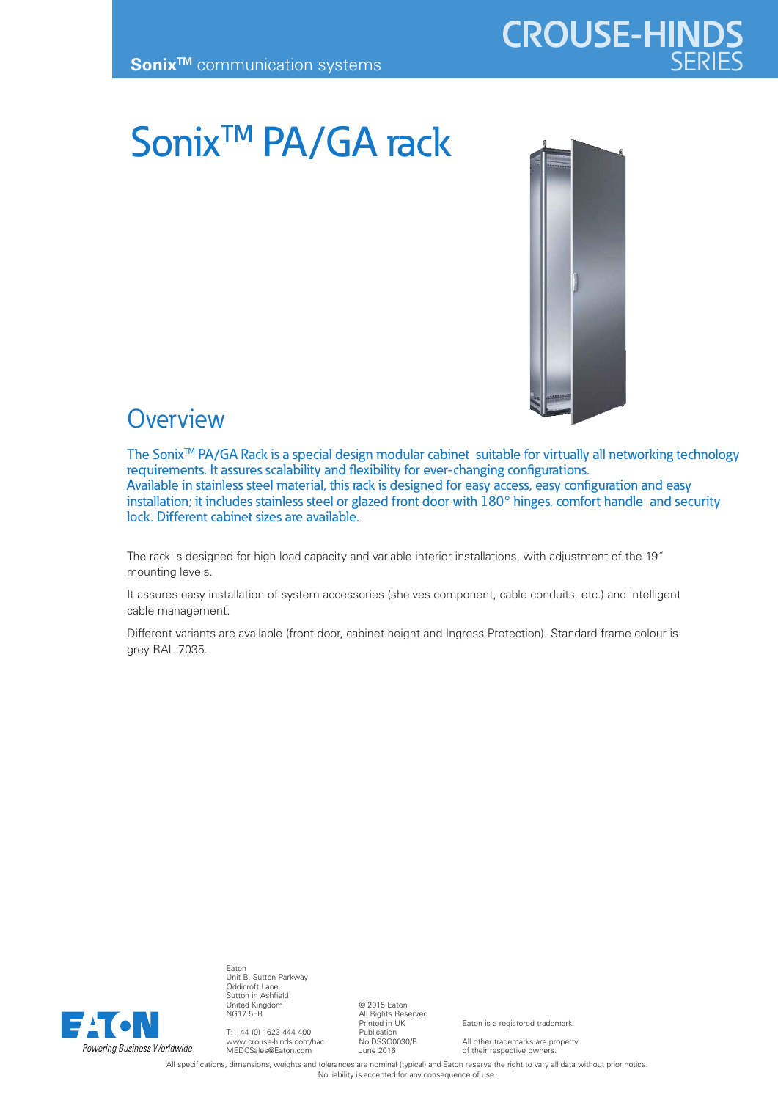Sonix<sup>™</sup> PA/GA rack



**CROUSE-HINDS**

## **Overview**

The Sonix<sup>TM</sup> PA/GA Rack is a special design modular cabinet suitable for virtually all networking technology requirements. It assures scalability and flexibility for ever-changing configurations. Available in stainless steel material, this rack is designed for easy access, easy configuration and easy installation; it includes stainless steel or glazed front door with 180° hinges, comfort handle and security lock. Different cabinet sizes are available.

The rack is designed for high load capacity and variable interior installations, with adjustment of the 19˝ mounting levels.

It assures easy installation of system accessories (shelves component, cable conduits, etc.) and intelligent cable management.

Different variants are available (front door, cabinet height and Ingress Protection). Standard frame colour is grey RAL 7035.



Eaton Unit B, Sutton Parkway Oddicroft Lane Sutton in Ashfield United Kingdom NG17 5FB

T: +44 (0) 1623 444 400 www.crouse-hinds.com/hac MEDCSales@Eaton.com

© 2015 Eaton All Rights Reserved Printed in UK Publication No.DSSO0030/B June 2016

Eaton is a registered trademark.

All other trademarks are property of their respective owners.

All specifications, dimensions, weights and tolerances are nominal (typical) and Eaton reserve the right to vary all data without prior notice. No liability is accepted for any consequence of use.